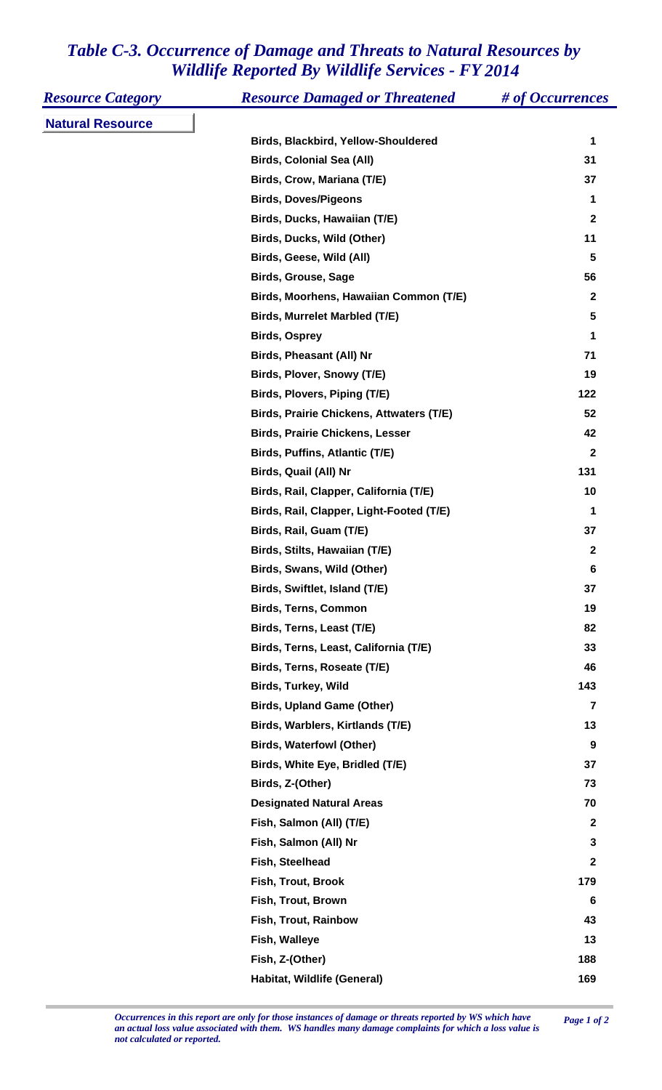## *Table C-3. Occurrence of Damage and Threats to Natural Resources by Wildlife Reported By Wildlife Services - FY 2014*

| <b>Resource Category</b> | <b>Resource Damaged or Threatened</b>           | # of Occurrences |
|--------------------------|-------------------------------------------------|------------------|
| <b>Natural Resource</b>  |                                                 |                  |
|                          | Birds, Blackbird, Yellow-Shouldered             | 1                |
|                          | <b>Birds, Colonial Sea (All)</b>                | 31               |
|                          | Birds, Crow, Mariana (T/E)                      | 37               |
|                          | <b>Birds, Doves/Pigeons</b>                     | 1                |
|                          | Birds, Ducks, Hawaiian (T/E)                    | $\mathbf{2}$     |
|                          | Birds, Ducks, Wild (Other)                      | 11               |
|                          | Birds, Geese, Wild (All)                        | $5\phantom{1}$   |
|                          | <b>Birds, Grouse, Sage</b>                      | 56               |
|                          | Birds, Moorhens, Hawaiian Common (T/E)          | $\mathbf{2}$     |
|                          | Birds, Murrelet Marbled (T/E)                   | 5                |
|                          | <b>Birds, Osprey</b>                            | 1                |
|                          | <b>Birds, Pheasant (All) Nr</b>                 | 71               |
|                          | Birds, Plover, Snowy (T/E)                      | 19               |
|                          | Birds, Plovers, Piping (T/E)                    | 122              |
|                          | <b>Birds, Prairie Chickens, Attwaters (T/E)</b> | 52               |
|                          | <b>Birds, Prairie Chickens, Lesser</b>          | 42               |
|                          | Birds, Puffins, Atlantic (T/E)                  | $\mathbf{2}$     |
|                          | Birds, Quail (All) Nr                           | 131              |
|                          | Birds, Rail, Clapper, California (T/E)          | 10               |
|                          | Birds, Rail, Clapper, Light-Footed (T/E)        | 1                |
|                          | Birds, Rail, Guam (T/E)                         | 37               |
|                          | Birds, Stilts, Hawaiian (T/E)                   | $\mathbf{2}$     |
|                          | Birds, Swans, Wild (Other)                      | 6                |
|                          | Birds, Swiftlet, Island (T/E)                   | 37               |
|                          | <b>Birds, Terns, Common</b>                     | 19               |
|                          | Birds, Terns, Least (T/E)                       | 82               |
|                          | Birds, Terns, Least, California (T/E)           | 33               |
|                          | Birds, Terns, Roseate (T/E)                     | 46               |
|                          | Birds, Turkey, Wild                             | 143              |
|                          | <b>Birds, Upland Game (Other)</b>               | 7                |
|                          | Birds, Warblers, Kirtlands (T/E)                | 13               |
|                          | <b>Birds, Waterfowl (Other)</b>                 | 9                |
|                          | Birds, White Eye, Bridled (T/E)                 | 37               |
|                          | Birds, Z-(Other)                                | 73               |
|                          | <b>Designated Natural Areas</b>                 | 70               |
|                          | Fish, Salmon (All) (T/E)                        | $\overline{2}$   |
|                          | Fish, Salmon (All) Nr                           | $\mathbf{3}$     |
|                          | Fish, Steelhead                                 | $\mathbf{2}$     |
|                          | Fish, Trout, Brook                              | 179              |
|                          | Fish, Trout, Brown                              | 6                |
|                          | Fish, Trout, Rainbow                            | 43               |
|                          | Fish, Walleye                                   | 13               |
|                          | Fish, Z-(Other)                                 | 188              |
|                          | Habitat, Wildlife (General)                     | 169              |